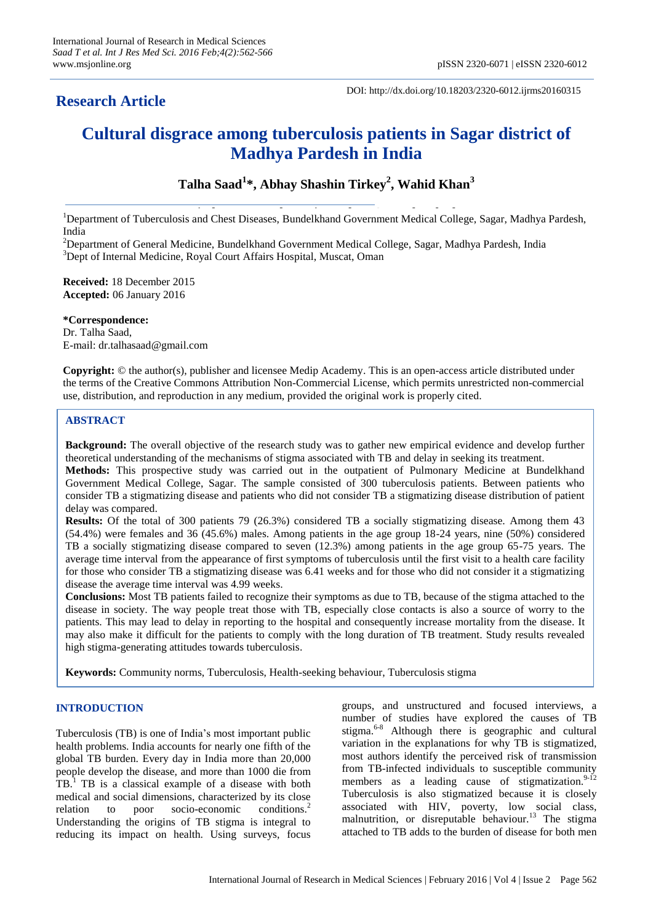## **Research Article**

DOI: http://dx.doi.org/10.18203/2320-6012.ijrms20160315

# **Cultural disgrace among tuberculosis patients in Sagar district of Madhya Pardesh in India**

## **Talha Saad<sup>1</sup> \*, Abhay Shashin Tirkey<sup>2</sup> , Wahid Khan<sup>3</sup>**

**Pradeepartment of Tuberculosis and Chest Diseases, Bundelkhand Government Medical College, Sagar, Madhya Pardesh,** India

<sup>2</sup>Department of General Medicine, Bundelkhand Government Medical College, Sagar, Madhya Pardesh, India <sup>3</sup>Dept of Internal Medicine, Royal Court Affairs Hospital, Muscat, Oman

**Received:** 18 December 2015 **Accepted:** 06 January 2016

**\*Correspondence:**

Dr. Talha Saad, E-mail: dr.talhasaad@gmail.com

**Copyright:** © the author(s), publisher and licensee Medip Academy. This is an open-access article distributed under the terms of the Creative Commons Attribution Non-Commercial License, which permits unrestricted non-commercial use, distribution, and reproduction in any medium, provided the original work is properly cited.

### **ABSTRACT**

**Background:** The overall objective of the research study was to gather new empirical evidence and develop further theoretical understanding of the mechanisms of stigma associated with TB and delay in seeking its treatment. **Methods:** This prospective study was carried out in the outpatient of Pulmonary Medicine at Bundelkhand Government Medical College, Sagar. The sample consisted of 300 tuberculosis patients. Between patients who

consider TB a stigmatizing disease and patients who did not consider TB a stigmatizing disease distribution of patient delay was compared.

**Results:** Of the total of 300 patients 79 (26.3%) considered TB a socially stigmatizing disease. Among them 43 (54.4%) were females and 36 (45.6%) males. Among patients in the age group 18-24 years, nine (50%) considered TB a socially stigmatizing disease compared to seven (12.3%) among patients in the age group 65-75 years. The average time interval from the appearance of first symptoms of tuberculosis until the first visit to a health care facility for those who consider TB a stigmatizing disease was 6.41 weeks and for those who did not consider it a stigmatizing disease the average time interval was 4.99 weeks.

**Conclusions:** Most TB patients failed to recognize their symptoms as due to TB, because of the stigma attached to the disease in society. The way people treat those with TB, especially close contacts is also a source of worry to the patients. This may lead to delay in reporting to the hospital and consequently increase mortality from the disease. It may also make it difficult for the patients to comply with the long duration of TB treatment. Study results revealed high stigma-generating attitudes towards tuberculosis.

**Keywords:** Community norms, Tuberculosis, Health-seeking behaviour, Tuberculosis stigma

### **INTRODUCTION**

Tuberculosis (TB) is one of India"s most important public health problems. India accounts for nearly one fifth of the global TB burden. Every day in India more than 20,000 people develop the disease, and more than 1000 die from  $T$ B.<sup>1</sup> TB is a classical example of a disease with both medical and social dimensions, characterized by its close relation to poor socio-economic conditions. $<sup>2</sup>$ </sup> Understanding the origins of TB stigma is integral to reducing its impact on health. Using surveys, focus groups, and unstructured and focused interviews, a number of studies have explored the causes of TB stigma. 6-8 Although there is geographic and cultural variation in the explanations for why TB is stigmatized, most authors identify the perceived risk of transmission from TB-infected individuals to susceptible community members as a leading cause of stigmatization.<sup>9-12</sup> Tuberculosis is also stigmatized because it is closely associated with HIV, poverty, low social class, malnutrition, or disreputable behaviour.<sup>13</sup> The stigma attached to TB adds to the burden of disease for both men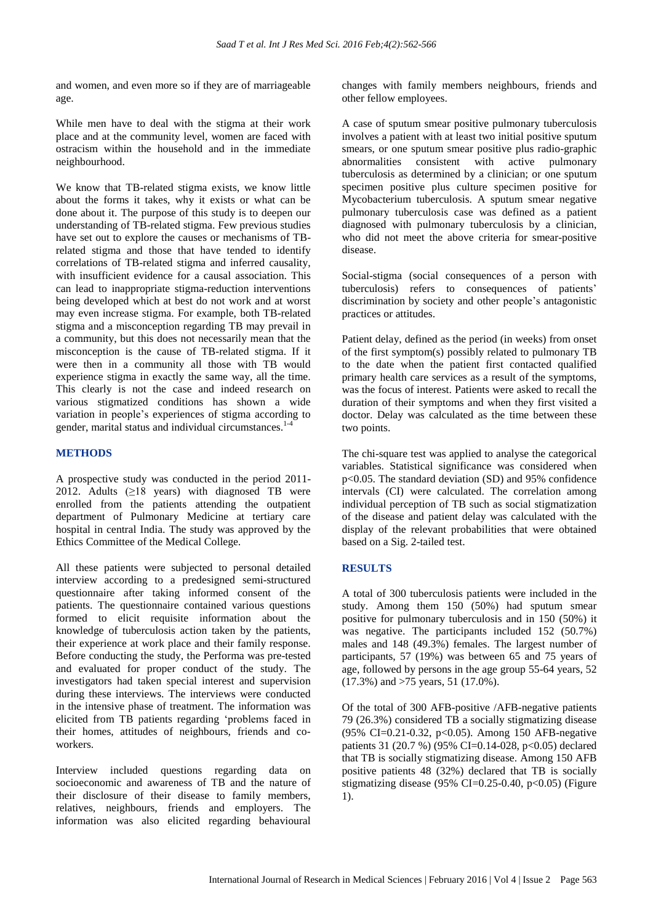and women, and even more so if they are of marriageable age.

While men have to deal with the stigma at their work place and at the community level, women are faced with ostracism within the household and in the immediate neighbourhood.

We know that TB-related stigma exists, we know little about the forms it takes, why it exists or what can be done about it. The purpose of this study is to deepen our understanding of TB-related stigma. Few previous studies have set out to explore the causes or mechanisms of TBrelated stigma and those that have tended to identify correlations of TB-related stigma and inferred causality, with insufficient evidence for a causal association. This can lead to inappropriate stigma-reduction interventions being developed which at best do not work and at worst may even increase stigma. For example, both TB-related stigma and a misconception regarding TB may prevail in a community, but this does not necessarily mean that the misconception is the cause of TB-related stigma. If it were then in a community all those with TB would experience stigma in exactly the same way, all the time. This clearly is not the case and indeed research on various stigmatized conditions has shown a wide variation in people"s experiences of stigma according to gender, marital status and individual circumstances. 1-4

#### **METHODS**

A prospective study was conducted in the period 2011- 2012. Adults  $(≥18 \text{ years})$  with diagnosed TB were enrolled from the patients attending the outpatient department of Pulmonary Medicine at tertiary care hospital in central India. The study was approved by the Ethics Committee of the Medical College.

All these patients were subjected to personal detailed interview according to a predesigned semi-structured questionnaire after taking informed consent of the patients. The questionnaire contained various questions formed to elicit requisite information about the knowledge of tuberculosis action taken by the patients, their experience at work place and their family response. Before conducting the study, the Performa was pre-tested and evaluated for proper conduct of the study. The investigators had taken special interest and supervision during these interviews. The interviews were conducted in the intensive phase of treatment. The information was elicited from TB patients regarding "problems faced in their homes, attitudes of neighbours, friends and coworkers.

Interview included questions regarding data on socioeconomic and awareness of TB and the nature of their disclosure of their disease to family members, relatives, neighbours, friends and employers. The information was also elicited regarding behavioural changes with family members neighbours, friends and other fellow employees.

A case of sputum smear positive pulmonary tuberculosis involves a patient with at least two initial positive sputum smears, or one sputum smear positive plus radio-graphic abnormalities consistent with active pulmonary tuberculosis as determined by a clinician; or one sputum specimen positive plus culture specimen positive for Mycobacterium tuberculosis. A sputum smear negative pulmonary tuberculosis case was defined as a patient diagnosed with pulmonary tuberculosis by a clinician, who did not meet the above criteria for smear-positive disease.

Social-stigma (social consequences of a person with tuberculosis) refers to consequences of patients' discrimination by society and other people's antagonistic practices or attitudes.

Patient delay, defined as the period (in weeks) from onset of the first symptom(s) possibly related to pulmonary TB to the date when the patient first contacted qualified primary health care services as a result of the symptoms, was the focus of interest. Patients were asked to recall the duration of their symptoms and when they first visited a doctor. Delay was calculated as the time between these two points.

The chi-square test was applied to analyse the categorical variables. Statistical significance was considered when p<0.05. The standard deviation (SD) and 95% confidence intervals (CI) were calculated. The correlation among individual perception of TB such as social stigmatization of the disease and patient delay was calculated with the display of the relevant probabilities that were obtained based on a Sig. 2-tailed test.

### **RESULTS**

A total of 300 tuberculosis patients were included in the study. Among them 150 (50%) had sputum smear positive for pulmonary tuberculosis and in 150 (50%) it was negative. The participants included 152 (50.7%) males and 148 (49.3%) females. The largest number of participants, 57 (19%) was between 65 and 75 years of age, followed by persons in the age group 55-64 years, 52 (17.3%) and >75 years, 51 (17.0%).

Of the total of 300 AFB-positive /AFB-negative patients 79 (26.3%) considered TB a socially stigmatizing disease (95% CI=0.21-0.32, p<0.05). Among 150 AFB-negative patients 31 (20.7 %) (95% CI=0.14-028, p<0.05) declared that TB is socially stigmatizing disease. Among 150 AFB positive patients 48 (32%) declared that TB is socially stigmatizing disease (95% CI=0.25-0.40,  $p<0.05$ ) (Figure 1).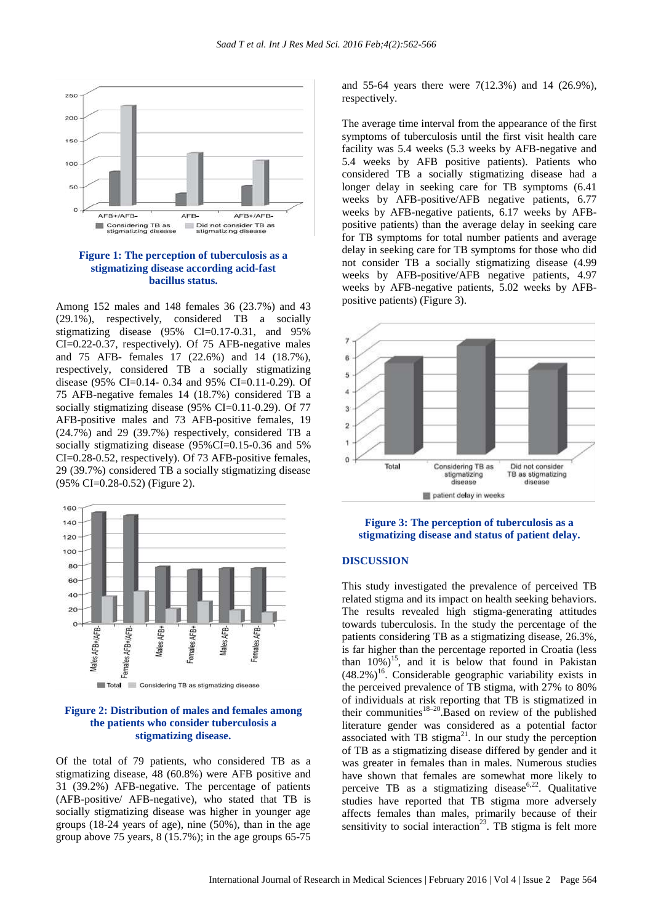

**Figure 1: The perception of tuberculosis as a stigmatizing disease according acid-fast bacillus status.**

Among 152 males and 148 females 36 (23.7%) and 43 (29.1%), respectively, considered TB a socially stigmatizing disease (95% CI=0.17-0.31, and 95% CI=0.22-0.37, respectively). Of 75 AFB-negative males and 75 AFB- females 17 (22.6%) and 14 (18.7%), respectively, considered TB a socially stigmatizing disease (95% CI=0.14- 0.34 and 95% CI=0.11-0.29). Of 75 AFB-negative females 14 (18.7%) considered TB a socially stigmatizing disease (95% CI=0.11-0.29). Of 77 AFB-positive males and 73 AFB-positive females, 19 (24.7%) and 29 (39.7%) respectively, considered TB a socially stigmatizing disease (95%CI=0.15-0.36 and 5%) CI=0.28-0.52, respectively). Of 73 AFB-positive females, 29 (39.7%) considered TB a socially stigmatizing disease (95% CI=0.28-0.52) (Figure 2).





Of the total of 79 patients, who considered TB as a stigmatizing disease, 48 (60.8%) were AFB positive and 31 (39.2%) AFB-negative. The percentage of patients (AFB-positive/ AFB-negative), who stated that TB is socially stigmatizing disease was higher in younger age groups (18-24 years of age), nine (50%), than in the age group above 75 years, 8 (15.7%); in the age groups 65-75

and 55-64 years there were 7(12.3%) and 14 (26.9%), respectively.

The average time interval from the appearance of the first symptoms of tuberculosis until the first visit health care facility was 5.4 weeks (5.3 weeks by AFB-negative and 5.4 weeks by AFB positive patients). Patients who considered TB a socially stigmatizing disease had a longer delay in seeking care for TB symptoms (6.41 weeks by AFB-positive/AFB negative patients, 6.77 weeks by AFB-negative patients, 6.17 weeks by AFBpositive patients) than the average delay in seeking care for TB symptoms for total number patients and average delay in seeking care for TB symptoms for those who did not consider TB a socially stigmatizing disease (4.99 weeks by AFB-positive/AFB negative patients, 4.97 weeks by AFB-negative patients, 5.02 weeks by AFBpositive patients) (Figure 3).





### **DISCUSSION**

This study investigated the prevalence of perceived TB related stigma and its impact on health seeking behaviors. The results revealed high stigma-generating attitudes towards tuberculosis. In the study the percentage of the patients considering TB as a stigmatizing disease, 26.3%, is far higher than the percentage reported in Croatia (less than  $10\%$ )<sup>15</sup>, and it is below that found in Pakistan  $(48.2%)^{16}$ . Considerable geographic variability exists in the perceived prevalence of TB stigma, with 27% to 80% of individuals at risk reporting that TB is stigmatized in their communities<sup>18–20</sup>.Based on review of the published literature gender was considered as a potential factor associated with TB stigma<sup>21</sup>. In our study the perception of TB as a stigmatizing disease differed by gender and it was greater in females than in males. Numerous studies have shown that females are somewhat more likely to perceive TB as a stigmatizing disease<sup>6,22</sup>. Qualitative studies have reported that TB stigma more adversely affects females than males, primarily because of their sensitivity to social interaction<sup>23</sup>. TB stigma is felt more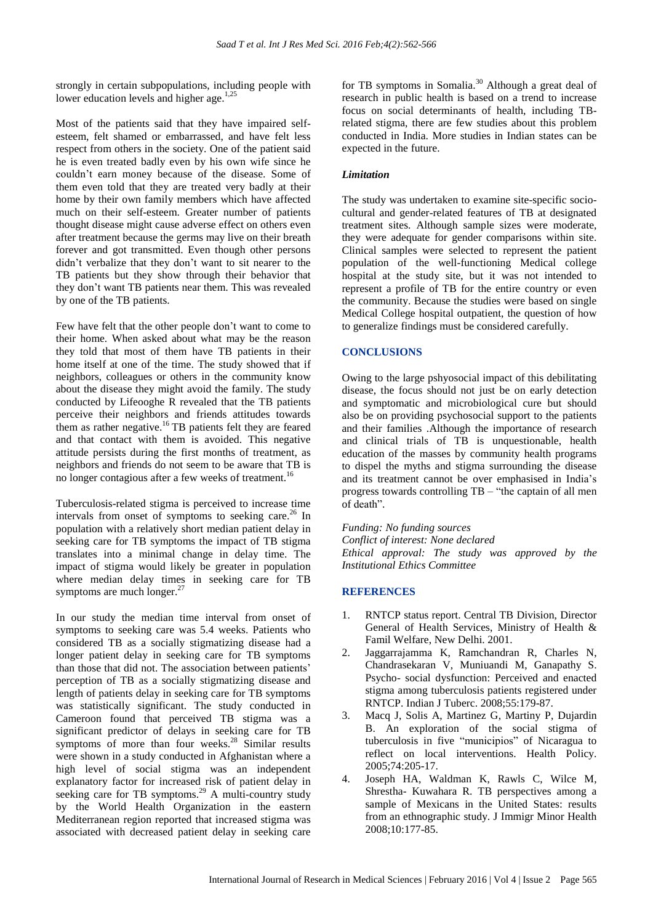strongly in certain subpopulations, including people with lower education levels and higher age.<sup>1,25</sup>

Most of the patients said that they have impaired selfesteem, felt shamed or embarrassed, and have felt less respect from others in the society. One of the patient said he is even treated badly even by his own wife since he couldn"t earn money because of the disease. Some of them even told that they are treated very badly at their home by their own family members which have affected much on their self-esteem. Greater number of patients thought disease might cause adverse effect on others even after treatment because the germs may live on their breath forever and got transmitted. Even though other persons didn"t verbalize that they don"t want to sit nearer to the TB patients but they show through their behavior that they don"t want TB patients near them. This was revealed by one of the TB patients.

Few have felt that the other people don"t want to come to their home. When asked about what may be the reason they told that most of them have TB patients in their home itself at one of the time. The study showed that if neighbors, colleagues or others in the community know about the disease they might avoid the family. The study conducted by Lifeooghe R revealed that the TB patients perceive their neighbors and friends attitudes towards them as rather negative.<sup>16</sup> TB patients felt they are feared and that contact with them is avoided. This negative attitude persists during the first months of treatment, as neighbors and friends do not seem to be aware that TB is no longer contagious after a few weeks of treatment.<sup>16</sup>

Tuberculosis-related stigma is perceived to increase time intervals from onset of symptoms to seeking care. <sup>26</sup> In population with a relatively short median patient delay in seeking care for TB symptoms the impact of TB stigma translates into a minimal change in delay time. The impact of stigma would likely be greater in population where median delay times in seeking care for TB symptoms are much longer.<sup>27</sup>

In our study the median time interval from onset of symptoms to seeking care was 5.4 weeks. Patients who considered TB as a socially stigmatizing disease had a longer patient delay in seeking care for TB symptoms than those that did not. The association between patients' perception of TB as a socially stigmatizing disease and length of patients delay in seeking care for TB symptoms was statistically significant. The study conducted in Cameroon found that perceived TB stigma was a significant predictor of delays in seeking care for TB symptoms of more than four weeks.<sup>28</sup> Similar results were shown in a study conducted in Afghanistan where a high level of social stigma was an independent explanatory factor for increased risk of patient delay in seeking care for TB symptoms.<sup>29</sup> A multi-country study by the World Health Organization in the eastern Mediterranean region reported that increased stigma was associated with decreased patient delay in seeking care

for TB symptoms in Somalia.<sup>30</sup> Although a great deal of research in public health is based on a trend to increase focus on social determinants of health, including TBrelated stigma, there are few studies about this problem conducted in India. More studies in Indian states can be expected in the future.

#### *Limitation*

The study was undertaken to examine site-specific sociocultural and gender-related features of TB at designated treatment sites. Although sample sizes were moderate, they were adequate for gender comparisons within site. Clinical samples were selected to represent the patient population of the well-functioning Medical college hospital at the study site, but it was not intended to represent a profile of TB for the entire country or even the community. Because the studies were based on single Medical College hospital outpatient, the question of how to generalize findings must be considered carefully.

#### **CONCLUSIONS**

Owing to the large pshyosocial impact of this debilitating disease, the focus should not just be on early detection and symptomatic and microbiological cure but should also be on providing psychosocial support to the patients and their families .Although the importance of research and clinical trials of TB is unquestionable, health education of the masses by community health programs to dispel the myths and stigma surrounding the disease and its treatment cannot be over emphasised in India"s progress towards controlling TB – "the captain of all men of death".

*Funding: No funding sources Conflict of interest: None declared Ethical approval: The study was approved by the Institutional Ethics Committee*

#### **REFERENCES**

- 1. RNTCP status report. Central TB Division, Director General of Health Services, Ministry of Health & Famil Welfare, New Delhi. 2001.
- 2. Jaggarrajamma K, Ramchandran R, Charles N, Chandrasekaran V, Muniuandi M, Ganapathy S. Psycho- social dysfunction: Perceived and enacted stigma among tuberculosis patients registered under RNTCP. Indian J Tuberc. 2008;55:179-87.
- 3. Macq J, Solis A, Martinez G, Martiny P, Dujardin B. An exploration of the social stigma of tuberculosis in five "municipios" of Nicaragua to reflect on local interventions. Health Policy. 2005;74:205-17.
- 4. Joseph HA, Waldman K, Rawls C, Wilce M, Shrestha- Kuwahara R. TB perspectives among a sample of Mexicans in the United States: results from an ethnographic study. J Immigr Minor Health 2008;10:177-85.